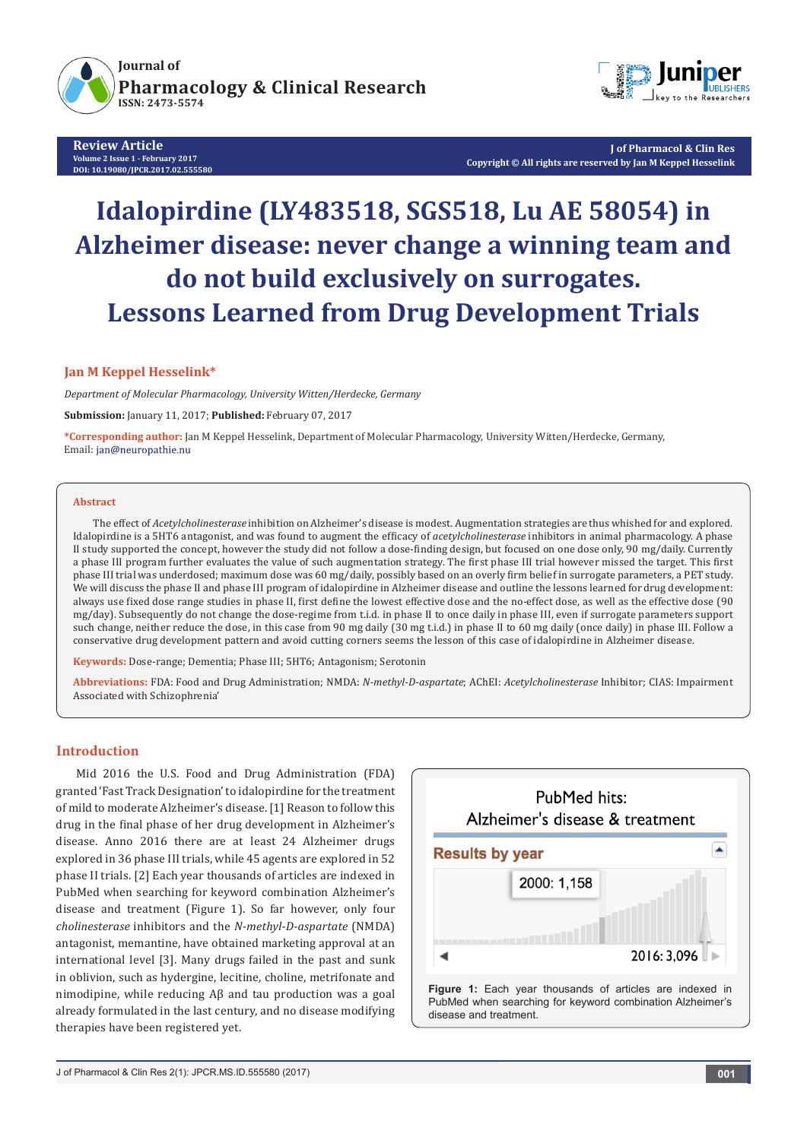

**Review Article Volume 2 Issue 1 - February 2017 DOI: [10.19080/JPCR.2017.02.555580](http://dx.doi.org/10.19080/JPCR.2017.02.555580
)**



**J of Pharmacol & Clin Res Copyright © All rights are reserved by Jan M Keppel Hesselink**

# **Idalopirdine (LY483518, SGS518, Lu AE 58054) in Alzheimer disease: never change a winning team and do not build exclusively on surrogates. Lessons Learned from Drug Development Trials**

## **Jan M Keppel Hesselink\***

*Department of Molecular Pharmacology, University Witten/Herdecke, Germany*

**Submission:** January 11, 2017; **Published:** February 07, 2017

**\*Corresponding author:** Jan M Keppel Hesselink, Department of Molecular Pharmacology, University Witten/Herdecke, Germany, Email: jan@neuropathie.nu

#### **Abstract**

The effect of *Acetylcholinesterase* inhibition on Alzheimer's disease is modest. Augmentation strategies are thus whished for and explored. Idalopirdine is a 5HT6 antagonist, and was found to augment the efficacy of *acetylcholinesterase* inhibitors in animal pharmacology. A phase II study supported the concept, however the study did not follow a dose-finding design, but focused on one dose only, 90 mg/daily. Currently a phase III program further evaluates the value of such augmentation strategy. The first phase III trial however missed the target. This first phase III trial was underdosed; maximum dose was 60 mg/daily, possibly based on an overly firm belief in surrogate parameters, a PET study. We will discuss the phase II and phase III program of idalopirdine in Alzheimer disease and outline the lessons learned for drug development: always use fixed dose range studies in phase II, first define the lowest effective dose and the no-effect dose, as well as the effective dose (90 mg/day). Subsequently do not change the dose-regime from t.i.d. in phase II to once daily in phase III, even if surrogate parameters support such change, neither reduce the dose, in this case from 90 mg daily (30 mg t.i.d.) in phase II to 60 mg daily (once daily) in phase III. Follow a conservative drug development pattern and avoid cutting corners seems the lesson of this case of idalopirdine in Alzheimer disease.

**Keywords:** Dose-range; Dementia; Phase III; 5HT6; Antagonism; Serotonin

**Abbreviations:** FDA: Food and Drug Administration; NMDA: *N-methyl-D-aspartate*; AChEI: *Acetylcholinesterase* Inhibitor; CIAS: Impairment Associated with Schizophrenia'

## **Introduction**

Mid 2016 the U.S. Food and Drug Administration (FDA) granted 'Fast Track Designation' to idalopirdine for the treatment of mild to moderate Alzheimer's disease. [1] Reason to follow this drug in the final phase of her drug development in Alzheimer's disease. Anno 2016 there are at least 24 Alzheimer drugs explored in 36 phase III trials, while 45 agents are explored in 52 phase II trials. [2] Each year thousands of articles are indexed in PubMed when searching for keyword combination Alzheimer's disease and treatment (Figure 1). So far however, only four *cholinesterase* inhibitors and the *N-methyl-D-aspartate* (NMDA) antagonist, memantine, have obtained marketing approval at an international level [3]. Many drugs failed in the past and sunk in oblivion, such as hydergine, lecitine, choline, metrifonate and nimodipine, while reducing Aβ and tau production was a goal already formulated in the last century, and no disease modifying therapies have been registered yet.

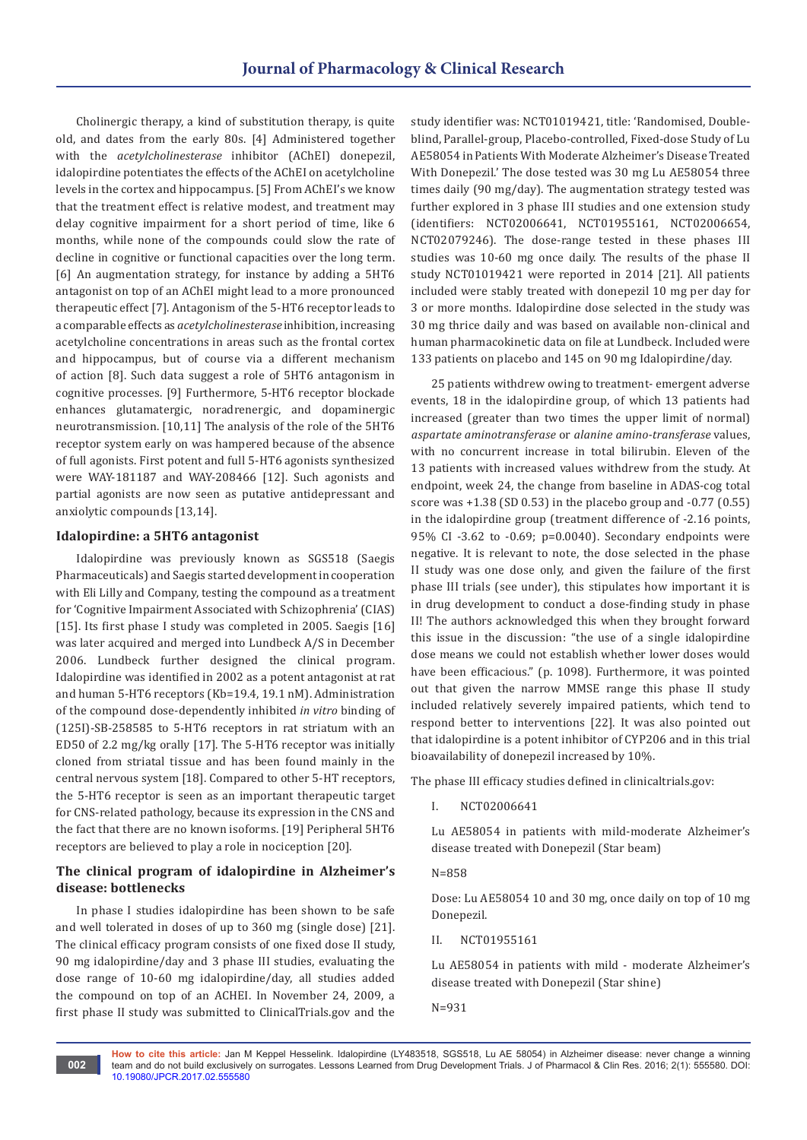Cholinergic therapy, a kind of substitution therapy, is quite old, and dates from the early 80s. [4] Administered together with the *acetylcholinesterase* inhibitor (AChEI) donepezil, idalopirdine potentiates the effects of the AChEI on acetylcholine levels in the cortex and hippocampus. [5] From AChEI's we know that the treatment effect is relative modest, and treatment may delay cognitive impairment for a short period of time, like 6 months, while none of the compounds could slow the rate of decline in cognitive or functional capacities over the long term. [6] An augmentation strategy, for instance by adding a 5HT6 antagonist on top of an AChEI might lead to a more pronounced therapeutic effect [7]. Antagonism of the 5-HT6 receptor leads to a comparable effects as *acetylcholinesterase* inhibition, increasing acetylcholine concentrations in areas such as the frontal cortex and hippocampus, but of course via a different mechanism of action [8]. Such data suggest a role of 5HT6 antagonism in cognitive processes. [9] Furthermore, 5-HT6 receptor blockade enhances glutamatergic, noradrenergic, and dopaminergic neurotransmission. [10,11] The analysis of the role of the 5HT6 receptor system early on was hampered because of the absence of full agonists. First potent and full 5-HT6 agonists synthesized were WAY-181187 and WAY-208466 [12]. Such agonists and partial agonists are now seen as putative antidepressant and anxiolytic compounds [13,14].

## **Idalopirdine: a 5HT6 antagonist**

Idalopirdine was previously known as SGS518 (Saegis Pharmaceuticals) and Saegis started development in cooperation with Eli Lilly and Company, testing the compound as a treatment for 'Cognitive Impairment Associated with Schizophrenia' (CIAS) [15]. Its first phase I study was completed in 2005. Saegis [16] was later acquired and merged into Lundbeck A/S in December 2006. Lundbeck further designed the clinical program. Idalopirdine was identified in 2002 as a potent antagonist at rat and human 5-HT6 receptors (Kb=19.4, 19.1 nM). Administration of the compound dose-dependently inhibited *in vitro* binding of (125I)-SB-258585 to 5-HT6 receptors in rat striatum with an ED50 of 2.2 mg/kg orally [17]. The 5-HT6 receptor was initially cloned from striatal tissue and has been found mainly in the central nervous system [18]. Compared to other 5-HT receptors, the 5-HT6 receptor is seen as an important therapeutic target for CNS-related pathology, because its expression in the CNS and the fact that there are no known isoforms. [19] Peripheral 5HT6 receptors are believed to play a role in nociception [20].

# **The clinical program of idalopirdine in Alzheimer's disease: bottlenecks**

In phase I studies idalopirdine has been shown to be safe and well tolerated in doses of up to 360 mg (single dose) [21]. The clinical efficacy program consists of one fixed dose II study, 90 mg idalopirdine/day and 3 phase III studies, evaluating the dose range of 10-60 mg idalopirdine/day, all studies added the compound on top of an ACHEI. In November 24, 2009, a first phase II study was submitted to ClinicalTrials.gov and the

**002**

study identifier was: NCT01019421, title: 'Randomised, Doubleblind, Parallel-group, Placebo-controlled, Fixed-dose Study of Lu AE58054 in Patients With Moderate Alzheimer's Disease Treated With Donepezil.' The dose tested was 30 mg Lu AE58054 three times daily (90 mg/day). The augmentation strategy tested was further explored in 3 phase III studies and one extension study (identifiers: NCT02006641, NCT01955161, NCT02006654, NCT02079246). The dose-range tested in these phases III studies was 10-60 mg once daily. The results of the phase II study NCT01019421 were reported in 2014 [21]. All patients included were stably treated with donepezil 10 mg per day for 3 or more months. Idalopirdine dose selected in the study was 30 mg thrice daily and was based on available non-clinical and human pharmacokinetic data on file at Lundbeck. Included were 133 patients on placebo and 145 on 90 mg Idalopirdine/day.

25 patients withdrew owing to treatment- emergent adverse events, 18 in the idalopirdine group, of which 13 patients had increased (greater than two times the upper limit of normal) *aspartate aminotransferase* or *alanine amino-transferase* values, with no concurrent increase in total bilirubin. Eleven of the 13 patients with increased values withdrew from the study. At endpoint, week 24, the change from baseline in ADAS-cog total score was +1.38 (SD 0.53) in the placebo group and -0.77 (0.55) in the idalopirdine group (treatment difference of -2.16 points, 95% CI -3.62 to -0.69; p=0.0040). Secondary endpoints were negative. It is relevant to note, the dose selected in the phase II study was one dose only, and given the failure of the first phase III trials (see under), this stipulates how important it is in drug development to conduct a dose-finding study in phase II! The authors acknowledged this when they brought forward this issue in the discussion: "the use of a single idalopirdine dose means we could not establish whether lower doses would have been efficacious." (p. 1098). Furthermore, it was pointed out that given the narrow MMSE range this phase II study included relatively severely impaired patients, which tend to respond better to interventions [22]. It was also pointed out that idalopirdine is a potent inhibitor of CYP206 and in this trial bioavailability of donepezil increased by 10%.

The phase III efficacy studies defined in clinicaltrials.gov:

I. NCT02006641

Lu AE58054 in patients with mild-moderate Alzheimer's disease treated with Donepezil (Star beam)

## $N = 858$

Dose: Lu AE58054 10 and 30 mg, once daily on top of 10 mg Donepezil.

II. NCT01955161

Lu AE58054 in patients with mild - moderate Alzheimer's disease treated with Donepezil (Star shine)

N=931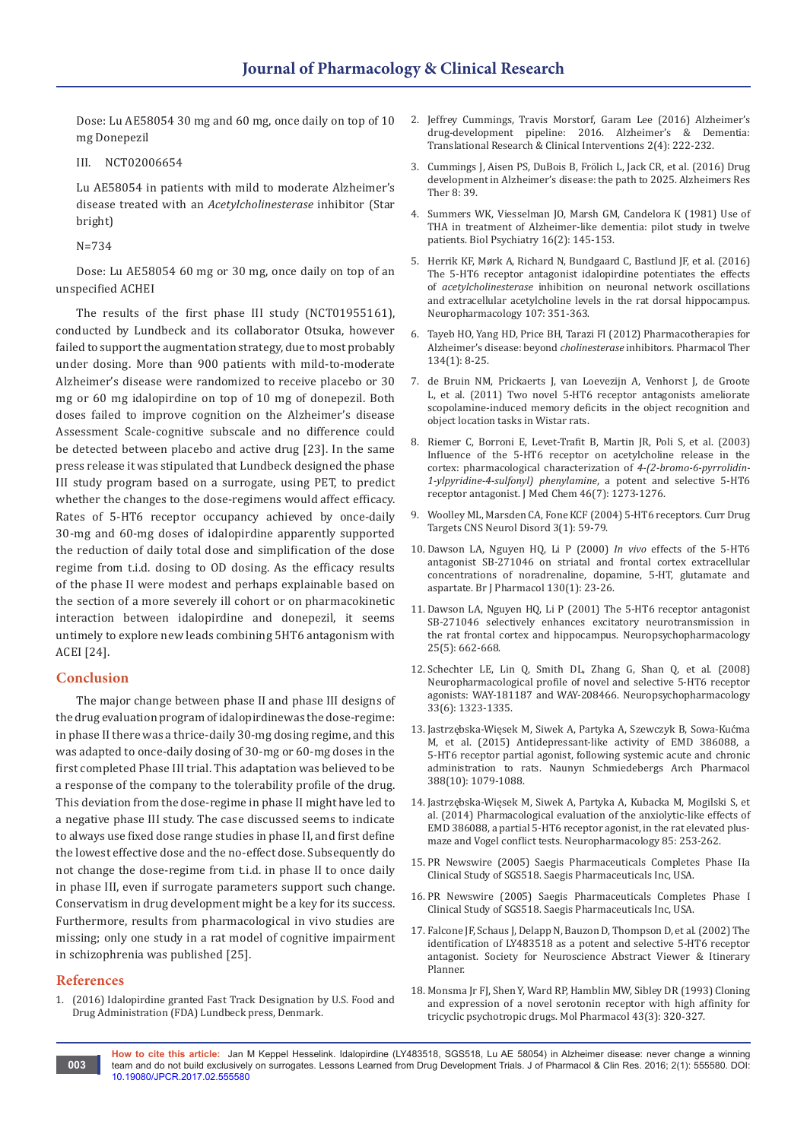Dose: Lu AE58054 30 mg and 60 mg, once daily on top of 10 mg Donepezil

III. NCT02006654

Lu AE58054 in patients with mild to moderate Alzheimer's disease treated with an *Acetylcholinesterase* inhibitor (Star bright)

N=734

Dose: Lu AE58054 60 mg or 30 mg, once daily on top of an unspecified ACHEI

The results of the first phase III study (NCT01955161), conducted by Lundbeck and its collaborator Otsuka, however failed to support the augmentation strategy, due to most probably under dosing. More than 900 patients with mild-to-moderate Alzheimer's disease were randomized to receive placebo or 30 mg or 60 mg idalopirdine on top of 10 mg of donepezil. Both doses failed to improve cognition on the Alzheimer's disease Assessment Scale-cognitive subscale and no difference could be detected between placebo and active drug [23]. In the same press release it was stipulated that Lundbeck designed the phase III study program based on a surrogate, using PET, to predict whether the changes to the dose-regimens would affect efficacy. Rates of 5-HT6 receptor occupancy achieved by once-daily 30-mg and 60-mg doses of idalopirdine apparently supported the reduction of daily total dose and simplification of the dose regime from t.i.d. dosing to OD dosing. As the efficacy results of the phase II were modest and perhaps explainable based on the section of a more severely ill cohort or on pharmacokinetic interaction between idalopirdine and donepezil, it seems untimely to explore new leads combining 5HT6 antagonism with ACEI [24].

## **Conclusion**

The major change between phase II and phase III designs of the drug evaluation program of idalopirdinewas the dose-regime: in phase II there was a thrice-daily 30-mg dosing regime, and this was adapted to once-daily dosing of 30-mg or 60-mg doses in the first completed Phase III trial. This adaptation was believed to be a response of the company to the tolerability profile of the drug. This deviation from the dose-regime in phase II might have led to a negative phase III study. The case discussed seems to indicate to always use fixed dose range studies in phase II, and first define the lowest effective dose and the no-effect dose. Subsequently do not change the dose-regime from t.i.d. in phase II to once daily in phase III, even if surrogate parameters support such change. Conservatism in drug development might be a key for its success. Furthermore, results from pharmacological in vivo studies are missing; only one study in a rat model of cognitive impairment in schizophrenia was published [25].

## **References**

1. [\(2016\) Idalopirdine granted Fast Track Designation by U.S. Food and](http://investor.lundbeck.com/releasedetail.cfm?releaseid=978552)  [Drug Administration \(FDA\) Lundbeck press, Denmark.](http://investor.lundbeck.com/releasedetail.cfm?releaseid=978552)

- 2. [Jeffrey Cummings, Travis Morstorf, Garam Lee \(2016\) Alzheimer's](http://www.sciencedirect.com/science/article/pii/S2352873716300191)  [drug-development pipeline: 2016. Alzheimer's & Dementia:](http://www.sciencedirect.com/science/article/pii/S2352873716300191)  [Translational Research & Clinical Interventions 2\(4\): 222-232.](http://www.sciencedirect.com/science/article/pii/S2352873716300191)
- 3. [Cummings J, Aisen PS, DuBois B, Frölich L, Jack CR, et al. \(2016\) Drug](https://www.ncbi.nlm.nih.gov/pubmed/27646601)  [development in Alzheimer's disease: the path to 2025. Alzheimers Res](https://www.ncbi.nlm.nih.gov/pubmed/27646601)  [Ther 8: 39.](https://www.ncbi.nlm.nih.gov/pubmed/27646601)
- 4. [Summers WK, Viesselman JO, Marsh GM, Candelora K \(1981\) Use of](https://www.ncbi.nlm.nih.gov/pubmed/7225483)  [THA in treatment of Alzheimer-like dementia: pilot study in twelve](https://www.ncbi.nlm.nih.gov/pubmed/7225483)  [patients. Biol Psychiatry 16\(2\): 145-153.](https://www.ncbi.nlm.nih.gov/pubmed/7225483)
- 5. [Herrik KF, Mørk A, Richard N, Bundgaard C, Bastlund JF, et al. \(2016\)](https://www.ncbi.nlm.nih.gov/pubmed/27039041)  [The 5-HT6 receptor antagonist idalopirdine potentiates the effects](https://www.ncbi.nlm.nih.gov/pubmed/27039041)  of *acetylcholinesterase* [inhibition on neuronal network oscillations](https://www.ncbi.nlm.nih.gov/pubmed/27039041)  [and extracellular acetylcholine levels in the rat dorsal hippocampus.](https://www.ncbi.nlm.nih.gov/pubmed/27039041)  [Neuropharmacology 107: 351-363.](https://www.ncbi.nlm.nih.gov/pubmed/27039041)
- 6. [Tayeb HO, Yang HD, Price BH, Tarazi FI \(2012\) Pharmacotherapies for](https://www.ncbi.nlm.nih.gov/pubmed/22198801)  [Alzheimer's disease: beyond](https://www.ncbi.nlm.nih.gov/pubmed/22198801) *cholinesterase* inhibitors. Pharmacol Ther [134\(1\): 8-25.](https://www.ncbi.nlm.nih.gov/pubmed/22198801)
- 7. [de Bruin NM, Prickaerts J, van Loevezijn A, Venhorst J, de Groote](https://www.ncbi.nlm.nih.gov/pubmed/21757018)  [L, et al. \(2011\) Two novel 5-HT6 receptor antagonists ameliorate](https://www.ncbi.nlm.nih.gov/pubmed/21757018)  [scopolamine-induced memory deficits in the object recognition and](https://www.ncbi.nlm.nih.gov/pubmed/21757018)  [object location tasks in Wistar rats.](https://www.ncbi.nlm.nih.gov/pubmed/21757018)
- 8. [Riemer C, Borroni E, Levet-Trafit B, Martin JR, Poli S, et al. \(2003\)](https://www.ncbi.nlm.nih.gov/pubmed/12646038)  [Influence of the 5-HT6 receptor on acetylcholine release in the](https://www.ncbi.nlm.nih.gov/pubmed/12646038)  [cortex: pharmacological characterization of](https://www.ncbi.nlm.nih.gov/pubmed/12646038) *4-(2-bromo-6-pyrrolidin-[1-ylpyridine-4-sulfonyl\) phenylamine](https://www.ncbi.nlm.nih.gov/pubmed/12646038)*, a potent and selective 5-HT6 [receptor antagonist. J Med Chem 46\(7\): 1273-1276.](https://www.ncbi.nlm.nih.gov/pubmed/12646038)
- 9. [Woolley ML, Marsden CA, Fone KCF \(2004\) 5-HT6 receptors. Curr Drug](https://www.ncbi.nlm.nih.gov/pubmed/14965245)  [Targets CNS Neurol Disord 3\(1\): 59-79.](https://www.ncbi.nlm.nih.gov/pubmed/14965245)
- 10. [Dawson LA, Nguyen HQ, Li P \(2000\)](https://www.ncbi.nlm.nih.gov/pubmed/10780993) *In vivo* effects of the 5-HT6 [antagonist SB-271046 on striatal and frontal cortex extracellular](https://www.ncbi.nlm.nih.gov/pubmed/10780993)  [concentrations of noradrenaline, dopamine, 5-HT, glutamate and](https://www.ncbi.nlm.nih.gov/pubmed/10780993)  [aspartate. Br J Pharmacol 130\(1\): 23-26.](https://www.ncbi.nlm.nih.gov/pubmed/10780993)
- 11. [Dawson LA, Nguyen HQ, Li P \(2001\) The 5-HT6 receptor antagonist](https://www.ncbi.nlm.nih.gov/pubmed/11682249)  [SB-271046 selectively enhances excitatory neurotransmission in](https://www.ncbi.nlm.nih.gov/pubmed/11682249)  [the rat frontal cortex and hippocampus. Neuropsychopharmacology](https://www.ncbi.nlm.nih.gov/pubmed/11682249)  [25\(5\): 662-668.](https://www.ncbi.nlm.nih.gov/pubmed/11682249)
- 12. [Schechter LE, Lin Q, Smith DL, Zhang G, Shan Q, et al. \(2008\)](https://www.ncbi.nlm.nih.gov/pubmed/17625499)  [Neuropharmacological profile of novel and selective 5-HT6 receptor](https://www.ncbi.nlm.nih.gov/pubmed/17625499)  [agonists: WAY-181187 and WAY-208466. Neuropsychopharmacology](https://www.ncbi.nlm.nih.gov/pubmed/17625499)  [33\(6\): 1323-1335.](https://www.ncbi.nlm.nih.gov/pubmed/17625499)
- 13. Jastrz[ębska-Więsek M, Siwek A, Partyka A, Szewczyk B, Sowa-Kućma](https://www.ncbi.nlm.nih.gov/pubmed/26077660)  [M, et al. \(2015\) Antidepressant-like activity of EMD 386088, a](https://www.ncbi.nlm.nih.gov/pubmed/26077660)  [5-HT6 receptor partial agonist, following systemic acute and chronic](https://www.ncbi.nlm.nih.gov/pubmed/26077660)  [administration to rats. Naunyn Schmiedebergs Arch Pharmacol](https://www.ncbi.nlm.nih.gov/pubmed/26077660)  [388\(10\): 1079-1088.](https://www.ncbi.nlm.nih.gov/pubmed/26077660)
- 14. [Jastrzębska-Więsek M, Siwek A, Partyka A, Kubacka M, Mogilski S, et](https://www.ncbi.nlm.nih.gov/pubmed/24905144)  [al. \(2014\) Pharmacological evaluation of the anxiolytic-like effects of](https://www.ncbi.nlm.nih.gov/pubmed/24905144)  [EMD 386088, a partial 5-HT6 receptor agonist, in the rat elevated plus](https://www.ncbi.nlm.nih.gov/pubmed/24905144)[maze and Vogel conflict tests. Neuropharmacology 85: 253-262.](https://www.ncbi.nlm.nih.gov/pubmed/24905144)
- 15. [PR Newswire \(2005\) Saegis Pharmaceuticals Completes Phase IIa](http://www.prnewswire.com/news-releases/saegis-pharmaceuticals-completes-phase-iia-clinical-study-of-sgs518-55550302.html)  [Clinical Study of SGS518. Saegis Pharmaceuticals Inc, USA.](http://www.prnewswire.com/news-releases/saegis-pharmaceuticals-completes-phase-iia-clinical-study-of-sgs518-55550302.html)
- 16. [PR Newswire \(2005\) Saegis Pharmaceuticals Completes Phase I](http://www.prnewswire.com/news-releases/saegis-pharmaceuticals-completes-phase-i-clinical-study-of-sgs518-54363612.html)  [Clinical Study of SGS518. Saegis Pharmaceuticals Inc, USA.](http://www.prnewswire.com/news-releases/saegis-pharmaceuticals-completes-phase-i-clinical-study-of-sgs518-54363612.html)
- 17. [Falcone JF, Schaus J, Delapp N, Bauzon D, Thompson D, et al. \(2002\) The](https://eurekamag.com/research/035/823/035823256.php)  [identification of LY483518 as a potent and selective 5-HT6 receptor](https://eurekamag.com/research/035/823/035823256.php)  [antagonist. Society for Neuroscience Abstract Viewer & Itinerary](https://eurekamag.com/research/035/823/035823256.php)  [Planner.](https://eurekamag.com/research/035/823/035823256.php)
- 18. [Monsma Jr FJ, Shen Y, Ward RP, Hamblin MW, Sibley DR \(1993\) Cloning](https://www.ncbi.nlm.nih.gov/pubmed/7680751)  [and expression of a novel serotonin receptor with high affinity for](https://www.ncbi.nlm.nih.gov/pubmed/7680751)  [tricyclic psychotropic drugs. Mol Pharmacol 43\(3\): 320-327.](https://www.ncbi.nlm.nih.gov/pubmed/7680751)
- **How to cite this article:** Jan M Keppel Hesselink. Idalopirdine (LY483518, SGS518, Lu AE 58054) in Alzheimer disease: never change a winning team and do not build exclusively on surrogates. Lessons Learned from Drug Development Trials. J of Pharmacol & Clin Res. 2016; 2(1): 555580. DOI: [10.19080/JPCR.2017.02.555580](http://dx.doi.org/10.19080/JPCR.2017.02.555580
) **003**